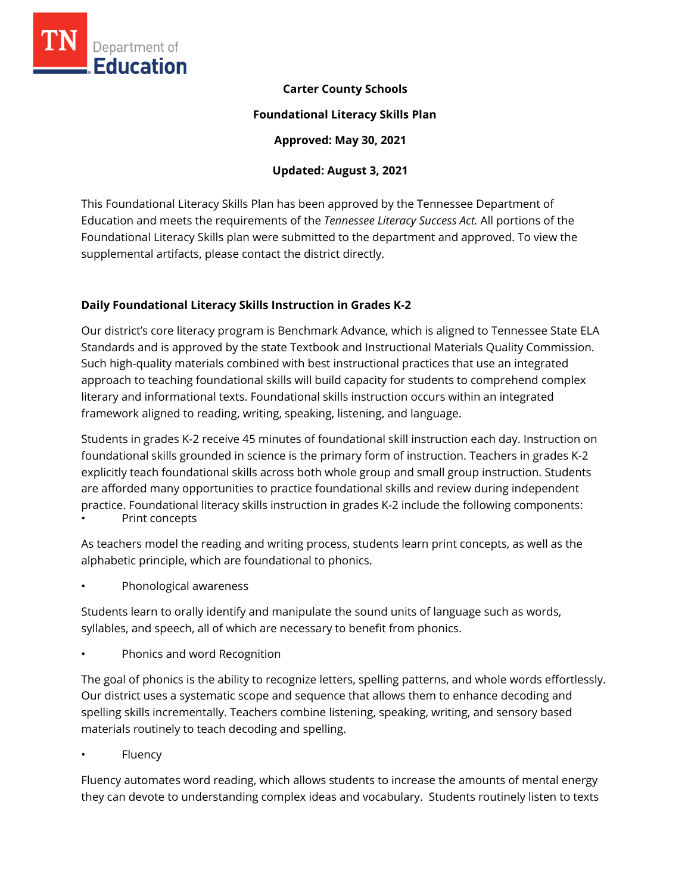

## **Carter County Schools**

#### **Foundational Literacy Skills Plan**

**Approved: May 30, 2021** 

# **Updated: August 3, 2021**

This Foundational Literacy Skills Plan has been approved by the Tennessee Department of Education and meets the requirements of the *Tennessee Literacy Success Act.* All portions of the Foundational Literacy Skills plan were submitted to the department and approved. To view the supplemental artifacts, please contact the district directly.

## **Daily Foundational Literacy Skills Instruction in Grades K-2**

Our district's core literacy program is Benchmark Advance, which is aligned to Tennessee State ELA Standards and is approved by the state Textbook and Instructional Materials Quality Commission. Such high-quality materials combined with best instructional practices that use an integrated approach to teaching foundational skills will build capacity for students to comprehend complex literary and informational texts. Foundational skills instruction occurs within an integrated framework aligned to reading, writing, speaking, listening, and language.

Students in grades K-2 receive 45 minutes of foundational skill instruction each day. Instruction on foundational skills grounded in science is the primary form of instruction. Teachers in grades K-2 explicitly teach foundational skills across both whole group and small group instruction. Students are afforded many opportunities to practice foundational skills and review during independent practice. Foundational literacy skills instruction in grades K-2 include the following components: Print concepts

As teachers model the reading and writing process, students learn print concepts, as well as the alphabetic principle, which are foundational to phonics.

• Phonological awareness

Students learn to orally identify and manipulate the sound units of language such as words, syllables, and speech, all of which are necessary to benefit from phonics.

• Phonics and word Recognition

The goal of phonics is the ability to recognize letters, spelling patterns, and whole words effortlessly. Our district uses a systematic scope and sequence that allows them to enhance decoding and spelling skills incrementally. Teachers combine listening, speaking, writing, and sensory based materials routinely to teach decoding and spelling.

**Fluency** 

Fluency automates word reading, which allows students to increase the amounts of mental energy they can devote to understanding complex ideas and vocabulary. Students routinely listen to texts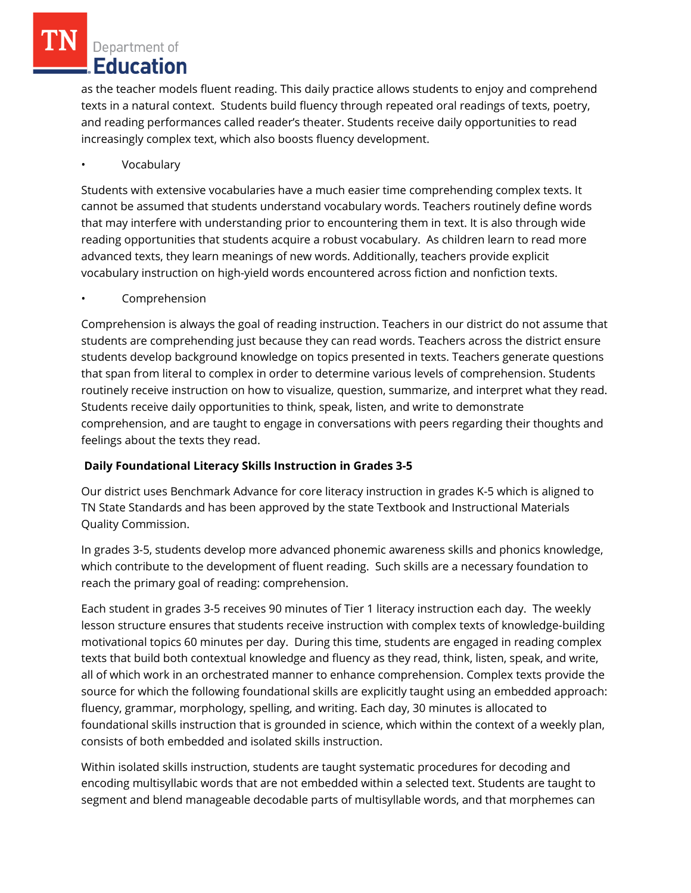as the teacher models fluent reading. This daily practice allows students to enjoy and comprehend texts in a natural context. Students build fluency through repeated oral readings of texts, poetry, and reading performances called reader's theater. Students receive daily opportunities to read increasingly complex text, which also boosts fluency development.

• Vocabulary

Students with extensive vocabularies have a much easier time comprehending complex texts. It cannot be assumed that students understand vocabulary words. Teachers routinely define words that may interfere with understanding prior to encountering them in text. It is also through wide reading opportunities that students acquire a robust vocabulary. As children learn to read more advanced texts, they learn meanings of new words. Additionally, teachers provide explicit vocabulary instruction on high-yield words encountered across fiction and nonfiction texts.

• Comprehension

Comprehension is always the goal of reading instruction. Teachers in our district do not assume that students are comprehending just because they can read words. Teachers across the district ensure students develop background knowledge on topics presented in texts. Teachers generate questions that span from literal to complex in order to determine various levels of comprehension. Students routinely receive instruction on how to visualize, question, summarize, and interpret what they read. Students receive daily opportunities to think, speak, listen, and write to demonstrate comprehension, and are taught to engage in conversations with peers regarding their thoughts and feelings about the texts they read.

## **Daily Foundational Literacy Skills Instruction in Grades 3-5**

Our district uses Benchmark Advance for core literacy instruction in grades K-5 which is aligned to TN State Standards and has been approved by the state Textbook and Instructional Materials Quality Commission.

In grades 3-5, students develop more advanced phonemic awareness skills and phonics knowledge, which contribute to the development of fluent reading. Such skills are a necessary foundation to reach the primary goal of reading: comprehension.

Each student in grades 3-5 receives 90 minutes of Tier 1 literacy instruction each day. The weekly lesson structure ensures that students receive instruction with complex texts of knowledge-building motivational topics 60 minutes per day. During this time, students are engaged in reading complex texts that build both contextual knowledge and fluency as they read, think, listen, speak, and write, all of which work in an orchestrated manner to enhance comprehension. Complex texts provide the source for which the following foundational skills are explicitly taught using an embedded approach: fluency, grammar, morphology, spelling, and writing. Each day, 30 minutes is allocated to foundational skills instruction that is grounded in science, which within the context of a weekly plan, consists of both embedded and isolated skills instruction.

Within isolated skills instruction, students are taught systematic procedures for decoding and encoding multisyllabic words that are not embedded within a selected text. Students are taught to segment and blend manageable decodable parts of multisyllable words, and that morphemes can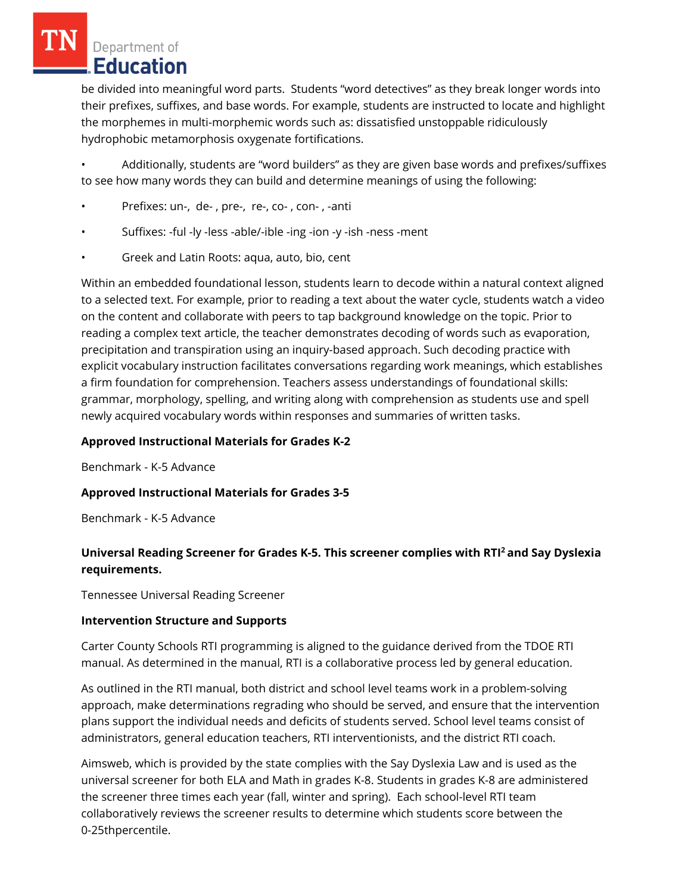be divided into meaningful word parts. Students "word detectives" as they break longer words into their prefixes, suffixes, and base words. For example, students are instructed to locate and highlight the morphemes in multi-morphemic words such as: dissatisfied unstoppable ridiculously hydrophobic metamorphosis oxygenate fortifications.

• Additionally, students are "word builders" as they are given base words and prefixes/suffixes to see how many words they can build and determine meanings of using the following:

- Prefixes: un-, de-, pre-, re-, co-, con-, -anti
- Suffixes: -ful -ly -less -able/-ible -ing -ion -y -ish -ness -ment
- Greek and Latin Roots: aqua, auto, bio, cent

Within an embedded foundational lesson, students learn to decode within a natural context aligned to a selected text. For example, prior to reading a text about the water cycle, students watch a video on the content and collaborate with peers to tap background knowledge on the topic. Prior to reading a complex text article, the teacher demonstrates decoding of words such as evaporation, precipitation and transpiration using an inquiry-based approach. Such decoding practice with explicit vocabulary instruction facilitates conversations regarding work meanings, which establishes a firm foundation for comprehension. Teachers assess understandings of foundational skills: grammar, morphology, spelling, and writing along with comprehension as students use and spell newly acquired vocabulary words within responses and summaries of written tasks.

## **Approved Instructional Materials for Grades K-2**

Benchmark - K-5 Advance

#### **Approved Instructional Materials for Grades 3-5**

Benchmark - K-5 Advance

## **Universal Reading Screener for Grades K-5. This screener complies with RTI<sup>2</sup>and Say Dyslexia requirements.**

Tennessee Universal Reading Screener

#### **Intervention Structure and Supports**

Carter County Schools RTI programming is aligned to the guidance derived from the TDOE RTI manual. As determined in the manual, RTI is a collaborative process led by general education.

As outlined in the RTI manual, both district and school level teams work in a problem-solving approach, make determinations regrading who should be served, and ensure that the intervention plans support the individual needs and deficits of students served. School level teams consist of administrators, general education teachers, RTI interventionists, and the district RTI coach.

Aimsweb, which is provided by the state complies with the Say Dyslexia Law and is used as the universal screener for both ELA and Math in grades K-8. Students in grades K-8 are administered the screener three times each year (fall, winter and spring). Each school-level RTI team collaboratively reviews the screener results to determine which students score between the 0-25thpercentile.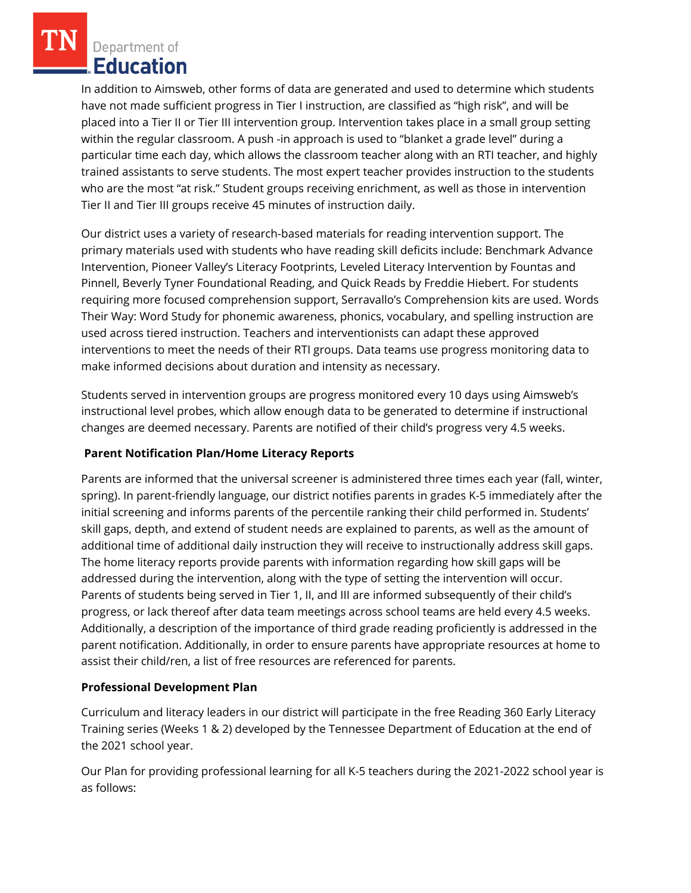In addition to Aimsweb, other forms of data are generated and used to determine which students have not made sufficient progress in Tier I instruction, are classified as "high risk", and will be placed into a Tier II or Tier III intervention group. Intervention takes place in a small group setting within the regular classroom. A push -in approach is used to "blanket a grade level" during a particular time each day, which allows the classroom teacher along with an RTI teacher, and highly trained assistants to serve students. The most expert teacher provides instruction to the students who are the most "at risk." Student groups receiving enrichment, as well as those in intervention Tier II and Tier III groups receive 45 minutes of instruction daily.

Our district uses a variety of research-based materials for reading intervention support. The primary materials used with students who have reading skill deficits include: Benchmark Advance Intervention, Pioneer Valley's Literacy Footprints, Leveled Literacy Intervention by Fountas and Pinnell, Beverly Tyner Foundational Reading, and Quick Reads by Freddie Hiebert. For students requiring more focused comprehension support, Serravallo's Comprehension kits are used. Words Their Way: Word Study for phonemic awareness, phonics, vocabulary, and spelling instruction are used across tiered instruction. Teachers and interventionists can adapt these approved interventions to meet the needs of their RTI groups. Data teams use progress monitoring data to make informed decisions about duration and intensity as necessary.

Students served in intervention groups are progress monitored every 10 days using Aimsweb's instructional level probes, which allow enough data to be generated to determine if instructional changes are deemed necessary. Parents are notified of their child's progress very 4.5 weeks.

## **Parent Notification Plan/Home Literacy Reports**

Parents are informed that the universal screener is administered three times each year (fall, winter, spring). In parent-friendly language, our district notifies parents in grades K-5 immediately after the initial screening and informs parents of the percentile ranking their child performed in. Students' skill gaps, depth, and extend of student needs are explained to parents, as well as the amount of additional time of additional daily instruction they will receive to instructionally address skill gaps. The home literacy reports provide parents with information regarding how skill gaps will be addressed during the intervention, along with the type of setting the intervention will occur. Parents of students being served in Tier 1, II, and III are informed subsequently of their child's progress, or lack thereof after data team meetings across school teams are held every 4.5 weeks. Additionally, a description of the importance of third grade reading proficiently is addressed in the parent notification. Additionally, in order to ensure parents have appropriate resources at home to assist their child/ren, a list of free resources are referenced for parents.

## **Professional Development Plan**

Curriculum and literacy leaders in our district will participate in the free Reading 360 Early Literacy Training series (Weeks 1 & 2) developed by the Tennessee Department of Education at the end of the 2021 school year.

Our Plan for providing professional learning for all K-5 teachers during the 2021-2022 school year is as follows: